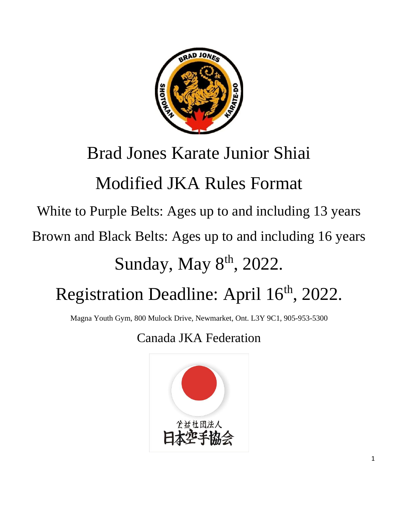

## Brad Jones Karate Junior Shiai

# Modified JKA Rules Format

White to Purple Belts: Ages up to and including 13 years

Brown and Black Belts: Ages up to and including 16 years

## Sunday, May 8<sup>th</sup>, 2022.

# Registration Deadline: April 16<sup>th</sup>, 2022.

Magna Youth Gym, 800 Mulock Drive, Newmarket, Ont. L3Y 9C1, 905-953-5300

Canada JKA Federation

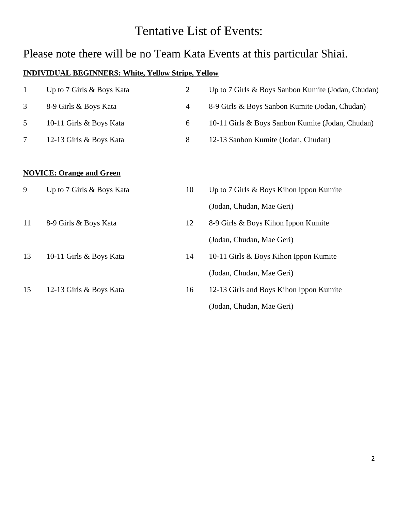## Tentative List of Events:

## Please note there will be no Team Kata Events at this particular Shiai.

#### **INDIVIDUAL BEGINNERS: White, Yellow Stripe, Yellow**

| $\mathbf{1}$ | Up to 7 Girls & Boys Kata       | $\overline{2}$ | Up to 7 Girls & Boys Sanbon Kumite (Jodan, Chudan) |
|--------------|---------------------------------|----------------|----------------------------------------------------|
| 3            | 8-9 Girls & Boys Kata           | $\overline{4}$ | 8-9 Girls & Boys Sanbon Kumite (Jodan, Chudan)     |
| 5            | 10-11 Girls & Boys Kata         | 6              | 10-11 Girls & Boys Sanbon Kumite (Jodan, Chudan)   |
| 7            | 12-13 Girls & Boys Kata         | $8\,$          | 12-13 Sanbon Kumite (Jodan, Chudan)                |
|              |                                 |                |                                                    |
|              | <b>NOVICE: Orange and Green</b> |                |                                                    |
| 9            | Up to 7 Girls & Boys Kata       | 10             | Up to 7 Girls & Boys Kihon Ippon Kumite            |
|              |                                 |                | (Jodan, Chudan, Mae Geri)                          |
| 11           | 8-9 Girls & Boys Kata           | 12             | 8-9 Girls & Boys Kihon Ippon Kumite                |
|              |                                 |                | (Jodan, Chudan, Mae Geri)                          |
| 13           | 10-11 Girls & Boys Kata         | 14             | 10-11 Girls & Boys Kihon Ippon Kumite              |
|              |                                 |                | (Jodan, Chudan, Mae Geri)                          |
| 15           | 12-13 Girls & Boys Kata         | 16             | 12-13 Girls and Boys Kihon Ippon Kumite            |
|              |                                 |                | (Jodan, Chudan, Mae Geri)                          |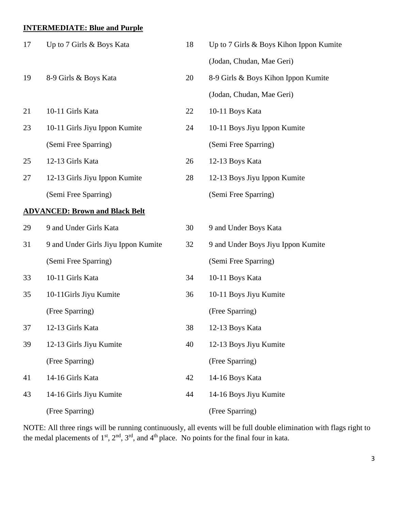#### **INTERMEDIATE: Blue and Purple**

| 17 | Up to 7 Girls & Boys Kata             | 18 | Up to 7 Girls & Boys Kihon Ippon Kumite |
|----|---------------------------------------|----|-----------------------------------------|
|    |                                       |    | (Jodan, Chudan, Mae Geri)               |
| 19 | 8-9 Girls & Boys Kata                 | 20 | 8-9 Girls & Boys Kihon Ippon Kumite     |
|    |                                       |    | (Jodan, Chudan, Mae Geri)               |
| 21 | 10-11 Girls Kata                      | 22 | 10-11 Boys Kata                         |
| 23 | 10-11 Girls Jiyu Ippon Kumite         | 24 | 10-11 Boys Jiyu Ippon Kumite            |
|    | (Semi Free Sparring)                  |    | (Semi Free Sparring)                    |
| 25 | 12-13 Girls Kata                      | 26 | 12-13 Boys Kata                         |
| 27 | 12-13 Girls Jiyu Ippon Kumite         | 28 | 12-13 Boys Jiyu Ippon Kumite            |
|    | (Semi Free Sparring)                  |    | (Semi Free Sparring)                    |
|    | <b>ADVANCED: Brown and Black Belt</b> |    |                                         |
| 29 | 9 and Under Girls Kata                | 30 | 9 and Under Boys Kata                   |
| 31 | 9 and Under Girls Jiyu Ippon Kumite   | 32 | 9 and Under Boys Jiyu Ippon Kumite      |
|    | (Semi Free Sparring)                  |    | (Semi Free Sparring)                    |
| 33 | 10-11 Girls Kata                      | 34 | 10-11 Boys Kata                         |
| 35 | 10-11Girls Jiyu Kumite                | 36 | 10-11 Boys Jiyu Kumite                  |
|    | (Free Sparring)                       |    | (Free Sparring)                         |
| 37 | 12-13 Girls Kata                      | 38 | 12-13 Boys Kata                         |
| 39 | 12-13 Girls Jiyu Kumite               | 40 | 12-13 Boys Jiyu Kumite                  |
|    | (Free Sparring)                       |    | (Free Sparring)                         |
| 41 | 14-16 Girls Kata                      | 42 | 14-16 Boys Kata                         |
| 43 | 14-16 Girls Jiyu Kumite               | 44 | 14-16 Boys Jiyu Kumite                  |
|    | (Free Sparring)                       |    | (Free Sparring)                         |

NOTE: All three rings will be running continuously, all events will be full double elimination with flags right to the medal placements of  $1<sup>st</sup>$ ,  $2<sup>nd</sup>$ ,  $3<sup>rd</sup>$ , and  $4<sup>th</sup>$  place. No points for the final four in kata.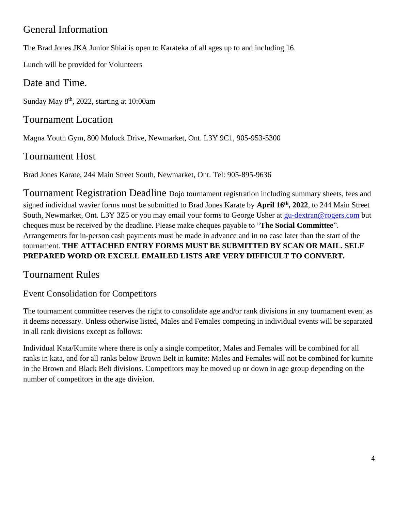## General Information

The Brad Jones JKA Junior Shiai is open to Karateka of all ages up to and including 16.

Lunch will be provided for Volunteers

### Date and Time.

Sunday May  $8<sup>th</sup>$ , 2022, starting at 10:00am

## Tournament Location

Magna Youth Gym, 800 Mulock Drive, Newmarket, Ont. L3Y 9C1, 905-953-5300

## Tournament Host

Brad Jones Karate, 244 Main Street South, Newmarket, Ont. Tel: 905-895-9636

Tournament Registration Deadline Dojo tournament registration including summary sheets, fees and signed individual wavier forms must be submitted to Brad Jones Karate by **April 16th , 2022**, to 244 Main Street South, Newmarket, Ont. L3Y 3Z5 or you may email your forms to George Usher at [gu-dextran@rogers.com](mailto:gu-dextran@rogers.com) but cheques must be received by the deadline. Please make cheques payable to "**The Social Committee**". Arrangements for in-person cash payments must be made in advance and in no case later than the start of the tournament. **THE ATTACHED ENTRY FORMS MUST BE SUBMITTED BY SCAN OR MAIL. SELF PREPARED WORD OR EXCELL EMAILED LISTS ARE VERY DIFFICULT TO CONVERT.**

## Tournament Rules

### Event Consolidation for Competitors

The tournament committee reserves the right to consolidate age and/or rank divisions in any tournament event as it deems necessary. Unless otherwise listed, Males and Females competing in individual events will be separated in all rank divisions except as follows:

Individual Kata/Kumite where there is only a single competitor, Males and Females will be combined for all ranks in kata, and for all ranks below Brown Belt in kumite: Males and Females will not be combined for kumite in the Brown and Black Belt divisions. Competitors may be moved up or down in age group depending on the number of competitors in the age division.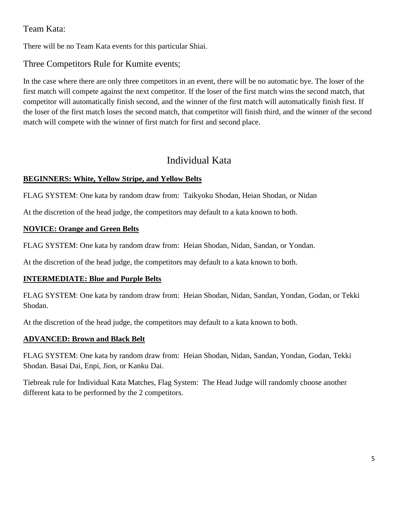#### Team Kata:

There will be no Team Kata events for this particular Shiai.

Three Competitors Rule for Kumite events;

In the case where there are only three competitors in an event, there will be no automatic bye. The loser of the first match will compete against the next competitor. If the loser of the first match wins the second match, that competitor will automatically finish second, and the winner of the first match will automatically finish first. If the loser of the first match loses the second match, that competitor will finish third, and the winner of the second match will compete with the winner of first match for first and second place.

### Individual Kata

#### **BEGINNERS: White, Yellow Stripe, and Yellow Belts**

FLAG SYSTEM: One kata by random draw from: Taikyoku Shodan, Heian Shodan, or Nidan

At the discretion of the head judge, the competitors may default to a kata known to both.

#### **NOVICE: Orange and Green Belts**

FLAG SYSTEM: One kata by random draw from: Heian Shodan, Nidan, Sandan, or Yondan.

At the discretion of the head judge, the competitors may default to a kata known to both.

#### **INTERMEDIATE: Blue and Purple Belts**

FLAG SYSTEM: One kata by random draw from: Heian Shodan, Nidan, Sandan, Yondan, Godan, or Tekki Shodan.

At the discretion of the head judge, the competitors may default to a kata known to both.

#### **ADVANCED: Brown and Black Belt**

FLAG SYSTEM: One kata by random draw from: Heian Shodan, Nidan, Sandan, Yondan, Godan, Tekki Shodan. Basai Dai, Enpi, Jion, or Kanku Dai.

Tiebreak rule for Individual Kata Matches, Flag System: The Head Judge will randomly choose another different kata to be performed by the 2 competitors.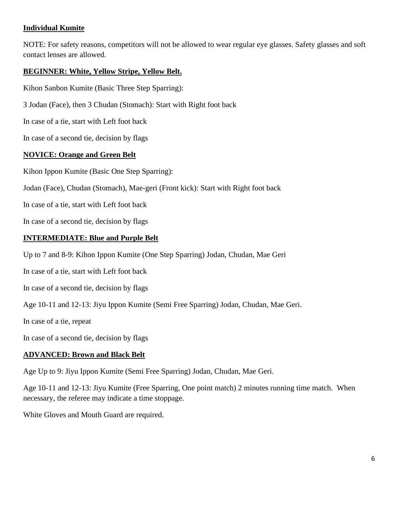#### **Individual Kumite**

NOTE: For safety reasons, competitors will not be allowed to wear regular eye glasses. Safety glasses and soft contact lenses are allowed.

#### **BEGINNER: White, Yellow Stripe, Yellow Belt.**

Kihon Sanbon Kumite (Basic Three Step Sparring):

3 Jodan (Face), then 3 Chudan (Stomach): Start with Right foot back

In case of a tie, start with Left foot back

In case of a second tie, decision by flags

#### **NOVICE: Orange and Green Belt**

Kihon Ippon Kumite (Basic One Step Sparring):

Jodan (Face), Chudan (Stomach), Mae-geri (Front kick): Start with Right foot back

In case of a tie, start with Left foot back

In case of a second tie, decision by flags

#### **INTERMEDIATE: Blue and Purple Belt**

Up to 7 and 8-9: Kihon Ippon Kumite (One Step Sparring) Jodan, Chudan, Mae Geri

In case of a tie, start with Left foot back

In case of a second tie, decision by flags

Age 10-11 and 12-13: Jiyu Ippon Kumite (Semi Free Sparring) Jodan, Chudan, Mae Geri.

In case of a tie, repeat

In case of a second tie, decision by flags

#### **ADVANCED: Brown and Black Belt**

Age Up to 9: Jiyu Ippon Kumite (Semi Free Sparring) Jodan, Chudan, Mae Geri.

Age 10-11 and 12-13: Jiyu Kumite (Free Sparring, One point match) 2 minutes running time match. When necessary, the referee may indicate a time stoppage.

White Gloves and Mouth Guard are required.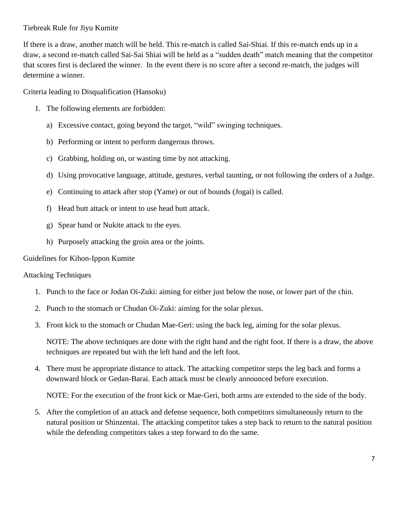#### Tiebreak Rule for Jiyu Kumite

If there is a draw, another match will be held. This re-match is called Sai-Shiai. If this re-match ends up in a draw, a second re-match called Sai-Sai Shiai will be held as a "sudden death" match meaning that the competitor that scores first is declared the winner. In the event there is no score after a second re-match, the judges will determine a winner.

Criteria leading to Disqualification (Hansoku)

- 1. The following elements are forbidden:
	- a) Excessive contact, going beyond the target, "wild" swinging techniques.
	- b) Performing or intent to perform dangerous throws.
	- c) Grabbing, holding on, or wasting time by not attacking.
	- d) Using provocative language, attitude, gestures, verbal taunting, or not following the orders of a Judge.
	- e) Continuing to attack after stop (Yame) or out of bounds (Jogai) is called.
	- f) Head butt attack or intent to use head butt attack.
	- g) Spear hand or Nukite attack to the eyes.
	- h) Purposely attacking the groin area or the joints.

Guidelines for Kihon-Ippon Kumite

#### Attacking Techniques

- 1. Punch to the face or Jodan Oi-Zuki: aiming for either just below the nose, or lower part of the chin.
- 2. Punch to the stomach or Chudan Oi-Zuki: aiming for the solar plexus.
- 3. Front kick to the stomach or Chudan Mae-Geri: using the back leg, aiming for the solar plexus.

NOTE: The above techniques are done with the right hand and the right foot. If there is a draw, the above techniques are repeated but with the left hand and the left foot.

4. There must be appropriate distance to attack. The attacking competitor steps the leg back and forms a downward block or Gedan-Barai. Each attack must be clearly announced before execution.

NOTE: For the execution of the front kick or Mae-Geri, both arms are extended to the side of the body.

5. After the completion of an attack and defense sequence, both competitors simultaneously return to the natural position or Shinzentai. The attacking competitor takes a step back to return to the natural position while the defending competitors takes a step forward to do the same.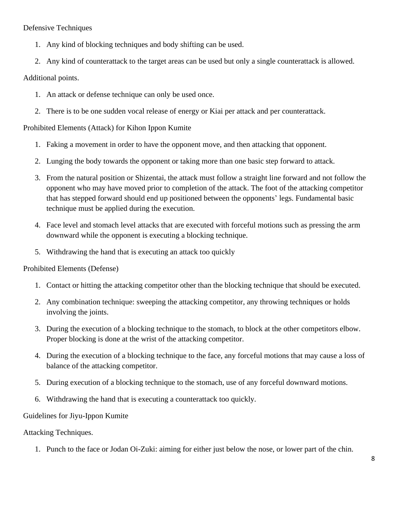Defensive Techniques

- 1. Any kind of blocking techniques and body shifting can be used.
- 2. Any kind of counterattack to the target areas can be used but only a single counterattack is allowed.

#### Additional points.

- 1. An attack or defense technique can only be used once.
- 2. There is to be one sudden vocal release of energy or Kiai per attack and per counterattack.

#### Prohibited Elements (Attack) for Kihon Ippon Kumite

- 1. Faking a movement in order to have the opponent move, and then attacking that opponent.
- 2. Lunging the body towards the opponent or taking more than one basic step forward to attack.
- 3. From the natural position or Shizentai, the attack must follow a straight line forward and not follow the opponent who may have moved prior to completion of the attack. The foot of the attacking competitor that has stepped forward should end up positioned between the opponents' legs. Fundamental basic technique must be applied during the execution.
- 4. Face level and stomach level attacks that are executed with forceful motions such as pressing the arm downward while the opponent is executing a blocking technique.
- 5. Withdrawing the hand that is executing an attack too quickly

Prohibited Elements (Defense)

- 1. Contact or hitting the attacking competitor other than the blocking technique that should be executed.
- 2. Any combination technique: sweeping the attacking competitor, any throwing techniques or holds involving the joints.
- 3. During the execution of a blocking technique to the stomach, to block at the other competitors elbow. Proper blocking is done at the wrist of the attacking competitor.
- 4. During the execution of a blocking technique to the face, any forceful motions that may cause a loss of balance of the attacking competitor.
- 5. During execution of a blocking technique to the stomach, use of any forceful downward motions.
- 6. Withdrawing the hand that is executing a counterattack too quickly.

#### Guidelines for Jiyu-Ippon Kumite

#### Attacking Techniques.

1. Punch to the face or Jodan Oi-Zuki: aiming for either just below the nose, or lower part of the chin.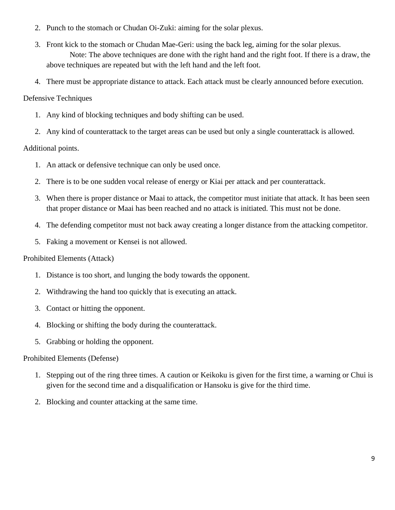- 2. Punch to the stomach or Chudan Oi-Zuki: aiming for the solar plexus.
- 3. Front kick to the stomach or Chudan Mae-Geri: using the back leg, aiming for the solar plexus. Note: The above techniques are done with the right hand and the right foot. If there is a draw, the above techniques are repeated but with the left hand and the left foot.
- 4. There must be appropriate distance to attack. Each attack must be clearly announced before execution.

#### Defensive Techniques

- 1. Any kind of blocking techniques and body shifting can be used.
- 2. Any kind of counterattack to the target areas can be used but only a single counterattack is allowed.

#### Additional points.

- 1. An attack or defensive technique can only be used once.
- 2. There is to be one sudden vocal release of energy or Kiai per attack and per counterattack.
- 3. When there is proper distance or Maai to attack, the competitor must initiate that attack. It has been seen that proper distance or Maai has been reached and no attack is initiated. This must not be done.
- 4. The defending competitor must not back away creating a longer distance from the attacking competitor.
- 5. Faking a movement or Kensei is not allowed.

#### Prohibited Elements (Attack)

- 1. Distance is too short, and lunging the body towards the opponent.
- 2. Withdrawing the hand too quickly that is executing an attack.
- 3. Contact or hitting the opponent.
- 4. Blocking or shifting the body during the counterattack.
- 5. Grabbing or holding the opponent.

#### Prohibited Elements (Defense)

- 1. Stepping out of the ring three times. A caution or Keikoku is given for the first time, a warning or Chui is given for the second time and a disqualification or Hansoku is give for the third time.
- 2. Blocking and counter attacking at the same time.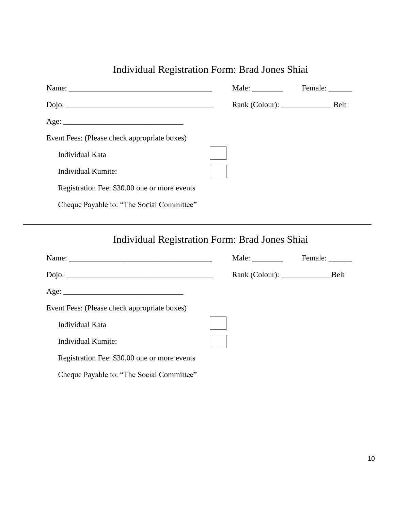| Individual Registration Form: Brad Jones Shiai |  |  |  |
|------------------------------------------------|--|--|--|
|                                                |  |  |  |

|                                              | Male: $\frac{1}{\sqrt{1-\frac{1}{2}} \cdot \frac{1}{\sqrt{1-\frac{1}{2}}}}$ | Female: |
|----------------------------------------------|-----------------------------------------------------------------------------|---------|
|                                              |                                                                             |         |
|                                              |                                                                             |         |
| Event Fees: (Please check appropriate boxes) |                                                                             |         |
| Individual Kata                              |                                                                             |         |
| Individual Kumite:                           |                                                                             |         |
| Registration Fee: \$30.00 one or more events |                                                                             |         |
| Cheque Payable to: "The Social Committee"    |                                                                             |         |

\_\_\_\_\_\_\_\_\_\_\_\_\_\_\_\_\_\_\_\_\_\_\_\_\_\_\_\_\_\_\_\_\_\_\_\_\_\_\_\_\_\_\_\_\_\_\_\_\_\_\_\_\_\_\_\_\_\_\_\_\_\_\_\_\_\_\_\_\_\_\_\_\_\_\_\_\_\_\_\_\_\_\_\_\_\_\_\_\_\_

Individual Registration Form: Brad Jones Shiai

|                                              | Male: | Female: _______ |
|----------------------------------------------|-------|-----------------|
|                                              |       | Belt            |
|                                              |       |                 |
| Event Fees: (Please check appropriate boxes) |       |                 |
| Individual Kata                              |       |                 |
| Individual Kumite:                           |       |                 |
| Registration Fee: \$30.00 one or more events |       |                 |
| Cheque Payable to: "The Social Committee"    |       |                 |